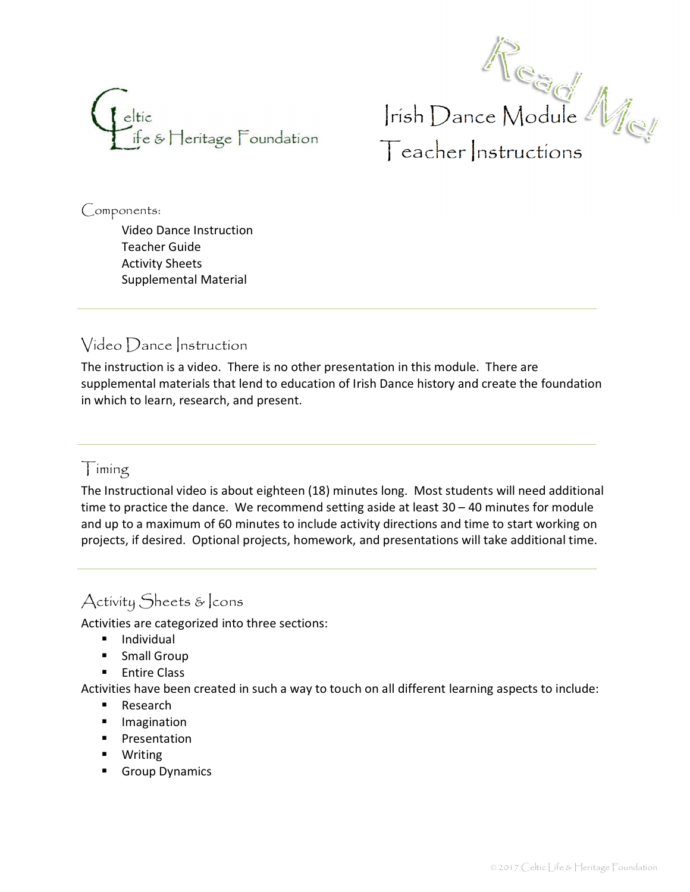



Components:

Video Dance Instruction Teacher Guide Activity Sheets Supplemental Material

## Video Dance Instruction

The instruction is a video. There is no other presentation in this module. There are supplemental materials that lend to education of Irish Dance history and create the foundation in which to learn, research, and present.

### Timing

The Instructional video is about eighteen (18) minutes long. Most students will need additional time to practice the dance. We recommend setting aside at least 30 – 40 minutes for module and up to a maximum of 60 minutes to include activity directions and time to start working on projects, if desired. Optional projects, homework, and presentations will take additional time.

## Activity Sheets & cons

Activities are categorized into three sections:

- **■** Individual
- **Burger** Small Group
- **Entire Class**

Activities have been created in such a way to touch on all different learning aspects to include:

- Research
- **•** Imagination
- **Presentation**
- **•** Writing
- **Group Dynamics**